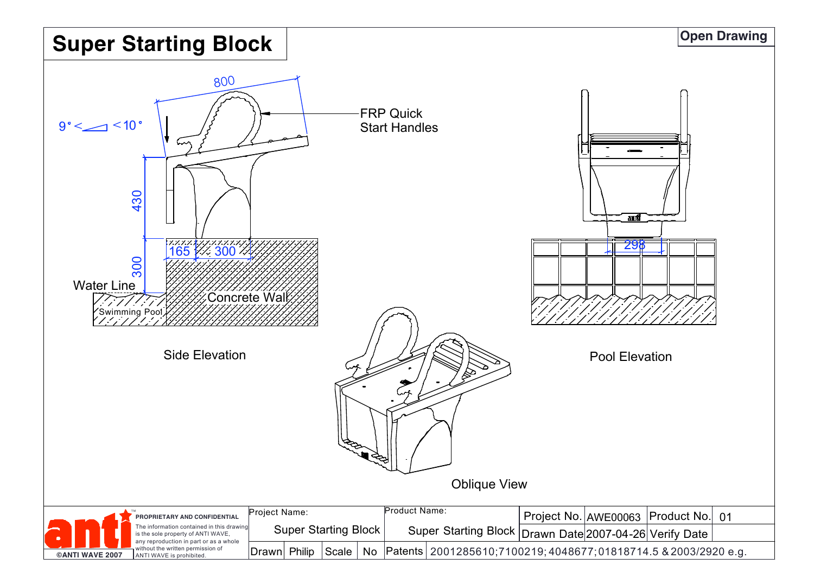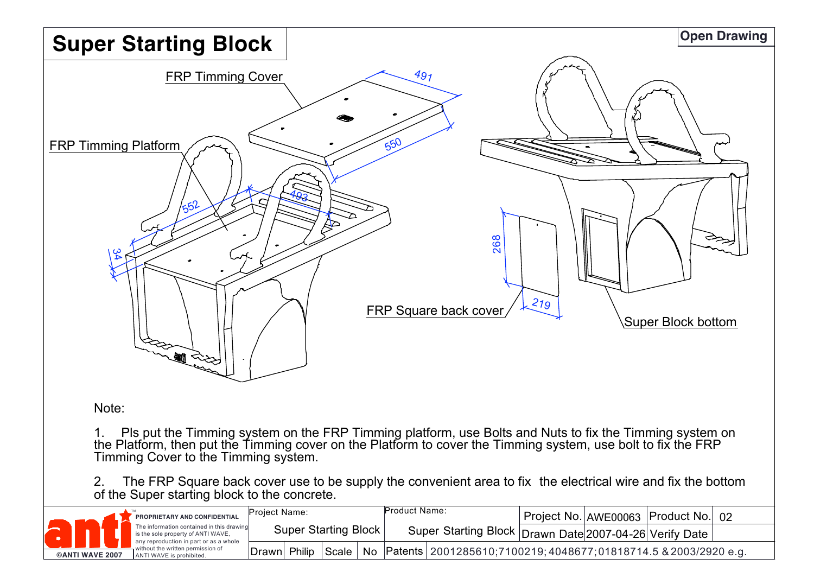

## Note:

1. Pls put the Timming system on the FRP Timming platform, use Bolts and Nuts to fix the Timming system on the Platform, then put the Timming cover on the Platform to cover the Timming system, use bolt to fix the FRP Timming Cover to the Timming system.

2. The FRP Square back cover use to be supply the convenient area to fix the electrical wire and fix the bottom of the Super starting block to the concrete.

|                        |  |  | PROPRIETARY AND CONFIDENTIAL                                                                                                                                                               | Project Name:               |        |       |                                                            | Product Name: |                                                                    |  | Project No. AWE00063   Product No.   02 |  |
|------------------------|--|--|--------------------------------------------------------------------------------------------------------------------------------------------------------------------------------------------|-----------------------------|--------|-------|------------------------------------------------------------|---------------|--------------------------------------------------------------------|--|-----------------------------------------|--|
|                        |  |  | The information contained in this drawing<br>is the sole property of ANTI WAVE,<br>any reproduction in part or as a whole<br>without the written permission of<br>ANTI WAVE is prohibited. | <b>Super Starting Block</b> |        |       | Super Starting Block   Drawn Date 2007-04-26 Verify Date I |               |                                                                    |  |                                         |  |
| <b>©ANTI WAVE 2007</b> |  |  |                                                                                                                                                                                            | Drawnl                      | Philip | Scale | No                                                         |               | Patents   2001285610;7100219; 4048677; 01818714.5 & 2003/2920 e.g. |  |                                         |  |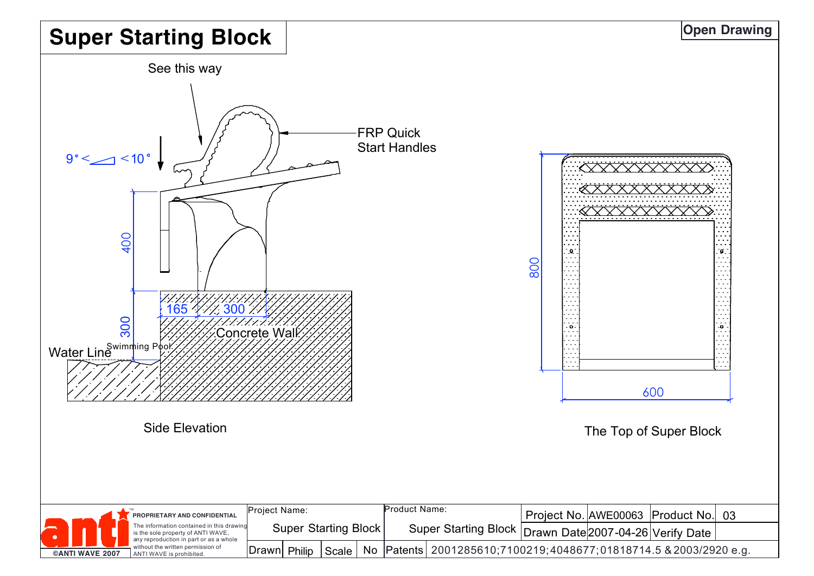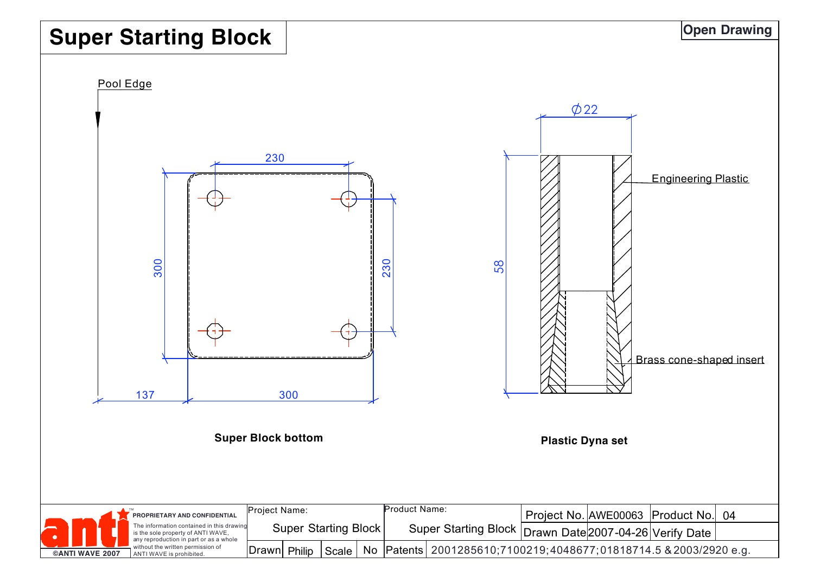